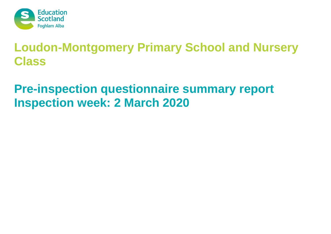

## **Pre-inspection questionnaire summary report Inspection week: 2 March 2020**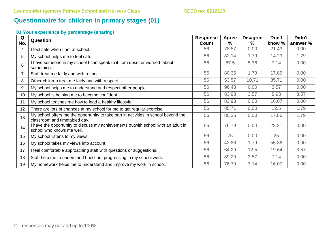### **Questionnaire for children in primary stages (01)**

| Q   | <b>Question</b>                                                                                                      | <b>Response</b> | <b>Agree</b> | <b>Disagree</b> | Don't  | Didn't   |
|-----|----------------------------------------------------------------------------------------------------------------------|-----------------|--------------|-----------------|--------|----------|
| No. |                                                                                                                      | <b>Count</b>    | $\%$         | $\%$            | know % | answer % |
| 4   | I feel safe when I am at school.                                                                                     | 56              | 78.57        | 0.00            | 21.43  | 0.00     |
| 5   | My school helps me to feel safe.                                                                                     | 56              | 82.14        | 1.79            | 14.29  | 1.79     |
| 6   | I have someone in my school I can speak to if I am upset or worried about<br>something.                              | 56              | 87.5         | 5.36            | 7.14   | 0.00     |
| 7   | Staff treat me fairly and with respect.                                                                              | 56              | 80.36        | 1.79            | 17.86  | 0.00     |
| 8   | Other children treat me fairly and with respect.                                                                     | 56              | 53.57        | 10.71           | 35.71  | 0.00     |
| 9   | My school helps me to understand and respect other people.                                                           | 56              | 96.43        | 0.00            | 3.57   | 0.00     |
| 10  | My school is helping me to become confident.                                                                         | 56              | 83.93        | 3.57            | 8.93   | 3.57     |
| 11  | My school teaches me how to lead a healthy lifestyle.                                                                | 56              | 83.93        | 0.00            | 16.07  | 0.00     |
| 12  | There are lots of chances at my school for me to get regular exercise.                                               | 56              | 85.71        | 0.00            | 12.5   | 1.79     |
| 13  | My school offers me the opportunity to take part in activities in school beyond the<br>classroom and timetabled day. | 56              | 80.36        | 0.00            | 17.86  | 1.79     |
| 14  | I have the opportunity to discuss my achievements outwith school with an adult in<br>school who knows me well.       | 56              | 76.79        | 0.00            | 23.21  | 0.00     |
| 15  | My school listens to my views.                                                                                       | 56              | 75           | 0.00            | 25     | 0.00     |
| 16  | My school takes my views into account.                                                                               | 56              | 42.86        | 1.79            | 55.36  | 0.00     |
| 17  | I feel comfortable approaching staff with questions or suggestions.                                                  | 56              | 64.29        | 12.5            | 19.64  | 3.57     |
| 18  | Staff help me to understand how I am progressing in my school work.                                                  | 56              | 89.29        | 3.57            | 7.14   | 0.00     |
| 19  | My homework helps me to understand and improve my work in school.                                                    | 56              | 76.79        | 7.14            | 16.07  | 0.00     |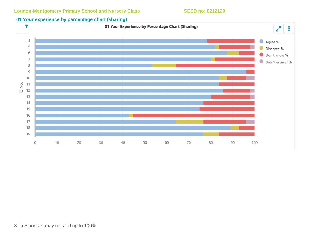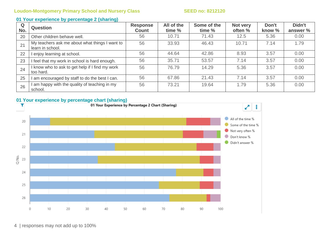### **01 Your experience by percentage 2 (sharing)**

| Q<br>No. | <b>Question</b>                                                    | <b>Response</b><br><b>Count</b> | All of the<br>time % | Some of the<br>time % | Not very<br>often % | Don't<br>know % | Didn't<br>answer % |
|----------|--------------------------------------------------------------------|---------------------------------|----------------------|-----------------------|---------------------|-----------------|--------------------|
| 20       | Other children behave well.                                        | 56                              | 10.71                | 71.43                 | 12.5                | 5.36            | 0.00               |
| 21       | My teachers ask me about what things I want to<br>learn in school. | 56                              | 33.93                | 46.43                 | 10.71               | 7.14            | 1.79               |
| 22       | enjoy learning at school.                                          | 56                              | 44.64                | 42.86                 | 8.93                | 3.57            | 0.00               |
| 23       | I feel that my work in school is hard enough.                      | 56                              | 35.71                | 53.57                 | 7.14                | 3.57            | 0.00               |
| 24       | I know who to ask to get help if I find my work<br>too hard.       | 56                              | 76.79                | 14.29                 | 5.36                | 3.57            | 0.00               |
| 25       | am encouraged by staff to do the best I can.                       | 56                              | 67.86                | 21.43                 | 7.14                | 3.57            | 0.00               |
| 26       | am happy with the quality of teaching in my<br>school.             | 56                              | 73.21                | 19.64                 | 1.79                | 5.36            | 0.00               |



4 | responses may not add up to 100%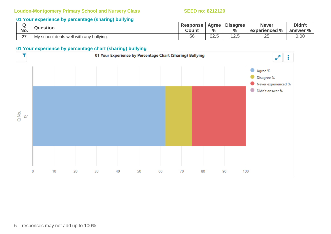### **01 Your experience by percentage (sharing) bullying**

|                    | <b>Question</b>                         | <b>Response</b> | Agree         | <b>Disagree</b> | <b>Never</b>  | Didn't   |
|--------------------|-----------------------------------------|-----------------|---------------|-----------------|---------------|----------|
| No.                |                                         | Count           | $\frac{6}{6}$ | $\frac{0}{0}$   | experienced % | answer % |
| $\sim$<br><u>_</u> | My school deals well with any bullying. | 56              | 62.5          | $\sim$          | ⌒冖<br>∽       | 0.00     |

### **01 Your experience by percentage chart (sharing) bullying**

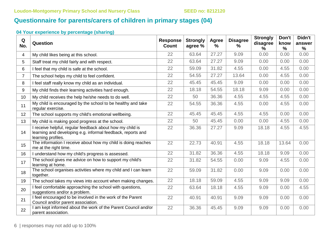## **Questionnaire for parents/carers of children in primary stages (04)**

| Q<br>No.       | Question                                                                                                                                       | <b>Response</b><br><b>Count</b> | <b>Strongly</b><br>agree % | <b>Agree</b><br>% | <b>Disagree</b><br>$\%$ | <b>Strongly</b><br>disagree<br>$\%$ | Don't<br>know<br>$\frac{9}{6}$ | Didn't<br>answer<br>$\frac{9}{6}$ |
|----------------|------------------------------------------------------------------------------------------------------------------------------------------------|---------------------------------|----------------------------|-------------------|-------------------------|-------------------------------------|--------------------------------|-----------------------------------|
| 4              | My child likes being at this school.                                                                                                           | 22                              | 63.64                      | 27.27             | 9.09                    | 0.00                                | 0.00                           | 0.00                              |
| 5              | Staff treat my child fairly and with respect.                                                                                                  | 22                              | 63.64                      | 27.27             | 9.09                    | 0.00                                | 0.00                           | 0.00                              |
| 6              | I feel that my child is safe at the school.                                                                                                    | 22                              | 59.09                      | 31.82             | 4.55                    | 0.00                                | 4.55                           | 0.00                              |
| $\overline{7}$ | The school helps my child to feel confident.                                                                                                   | 22                              | 54.55                      | 27.27             | 13.64                   | 0.00                                | 4.55                           | 0.00                              |
| 8              | I feel staff really know my child as an individual.                                                                                            | 22                              | 45.45                      | 45.45             | 9.09                    | 0.00                                | 0.00                           | 0.00                              |
| 9              | My child finds their learning activities hard enough.                                                                                          | 22                              | 18.18                      | 54.55             | 18.18                   | 9.09                                | 0.00                           | 0.00                              |
| 10             | My child receives the help he/she needs to do well.                                                                                            | 22                              | 50                         | 36.36             | 4.55                    | 4.55                                | 4.55                           | 0.00                              |
| 11             | My child is encouraged by the school to be healthy and take<br>regular exercise.                                                               | 22                              | 54.55                      | 36.36             | 4.55                    | 0.00                                | 4.55                           | 0.00                              |
| 12             | The school supports my child's emotional wellbeing.                                                                                            | 22                              | 45.45                      | 45.45             | 4.55                    | 4.55                                | 0.00                           | 0.00                              |
| 13             | My child is making good progress at the school.                                                                                                | 22                              | 50                         | 45.45             | 0.00                    | 0.00                                | 4.55                           | 0.00                              |
| 14             | I receive helpful, regular feedback about how my child is<br>learning and developing e.g. informal feedback, reports and<br>learning profiles. | 22                              | 36.36                      | 27.27             | 9.09                    | 18.18                               | 4.55                           | 4.55                              |
| 15             | The information I receive about how my child is doing reaches<br>me at the right time.                                                         | 22                              | 22.73                      | 40.91             | 4.55                    | 18.18                               | 13.64                          | 0.00                              |
| 16             | I understand how my child's progress is assessed.                                                                                              | 22                              | 31.82                      | 36.36             | 4.55                    | 18.18                               | 9.09                           | 0.00                              |
| 17             | The school gives me advice on how to support my child's<br>learning at home.                                                                   | 22                              | 31.82                      | 54.55             | 0.00                    | 9.09                                | 4.55                           | 0.00                              |
| 18             | The school organises activities where my child and I can learn<br>together.                                                                    | 22                              | 59.09                      | 31.82             | 0.00                    | 9.09                                | 0.00                           | 0.00                              |
| 19             | The school takes my views into account when making changes.                                                                                    | 22                              | 18.18                      | 59.09             | 4.55                    | 9.09                                | 9.09                           | 0.00                              |
| 20             | I feel comfortable approaching the school with questions,<br>suggestions and/or a problem.                                                     | 22                              | 63.64                      | 18.18             | 4.55                    | 9.09                                | 0.00                           | 4.55                              |
| 21             | I feel encouraged to be involved in the work of the Parent<br>Council and/or parent association.                                               | 22                              | 40.91                      | 40.91             | 9.09                    | 9.09                                | 0.00                           | 0.00                              |
| 22             | I am kept informed about the work of the Parent Council and/or<br>parent association.                                                          | 22                              | 36.36                      | 45.45             | 9.09                    | 9.09                                | 0.00                           | 0.00                              |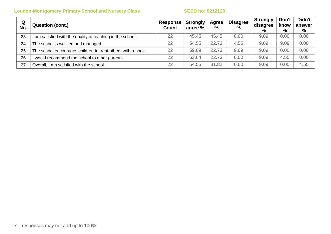| Q<br>No. | <b>Question (cont.)</b>                                      | Response<br>Count | <b>Strongly</b><br>agree % | Agree<br>% | <b>Disagree</b><br>$\%$ | <b>Strongly</b><br>disagree<br>$\%$ | Don't<br>know<br>$\%$ | Didn't<br>answer<br>% |
|----------|--------------------------------------------------------------|-------------------|----------------------------|------------|-------------------------|-------------------------------------|-----------------------|-----------------------|
| 23       | am satisfied with the quality of teaching in the school.     | 22                | 45.45                      | 45.45      | 0.00                    | 9.09                                | 0.00                  | 0.00                  |
| 24       | The school is well led and managed.                          | 22                | 54.55                      | 22.73      | 4.55                    | 9.09                                | 9.09                  | 0.00                  |
| 25       | The school encourages children to treat others with respect. | 22                | 59.09                      | 22.73      | 9.09                    | 9.09                                | 0.00                  | 0.00                  |
| 26       | would recommend the school to other parents.                 | 22                | 63.64                      | 22.73      | 0.00                    | 9.09                                | 4.55                  | 0.00                  |
| 27       | Overall, I am satisfied with the school.                     | 22                | 54.55                      | 31.82      | 0.00                    | 9.09                                | 0.00                  | 4.55                  |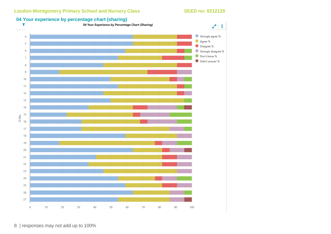

## **04 Your experience by percentage chart (sharing)**<br>**1** O4 Your Experience by Percentage Chart (Sharing)

8 | responses may not add up to 100%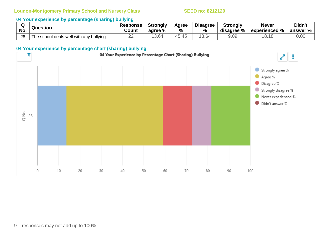### **04 Your experience by percentage (sharing) bullying**

| No. | Question                                 | <b>Response</b><br>Count | <b>Strongly</b><br>agree % | Agree<br>% | <b>Disagree</b><br>$\%$ | <b>Strongly</b><br>disagree % | <b>Never</b><br>$^{\circ}$ experienced $\%$ . | Didn't<br>answer $\%$ $\parallel$ |
|-----|------------------------------------------|--------------------------|----------------------------|------------|-------------------------|-------------------------------|-----------------------------------------------|-----------------------------------|
| 28  | The school deals well with any bullying. | __                       | 13.64                      | 45.45      | 3.64                    | 9.09                          | 1010<br>O.1O                                  | 0.00                              |

### **04 Your experience by percentage chart (sharing) bullying**

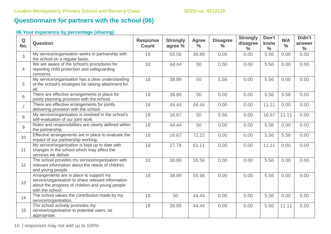## **Questionnaire for partners with the school (06)**

| $\mathbf Q$<br>No. | <b>Question</b>                                                                                                                                                      | <b>Response</b><br><b>Count</b> | <b>Strongly</b><br>agree % | <b>Agree</b><br>$\frac{0}{0}$ | <b>Disagree</b><br>$\%$ | <b>Strongly</b><br>disagree<br>$\%$ | Don't<br>know<br>$\frac{0}{0}$ | N/A<br>$\frac{0}{0}$ | Didn't<br>answer<br>$\frac{0}{0}$ |
|--------------------|----------------------------------------------------------------------------------------------------------------------------------------------------------------------|---------------------------------|----------------------------|-------------------------------|-------------------------|-------------------------------------|--------------------------------|----------------------|-----------------------------------|
| $\overline{3}$     | My service/organisation works in partnership with<br>the school on a regular basis.                                                                                  | 18                              | 55.56                      | 38.89                         | 0.00                    | 0.00                                | 5.56                           | 0.00                 | 0.00                              |
| $\overline{4}$     | We are aware of the school's procedures for<br>reporting child protection and safeguarding<br>concerns.                                                              | 18                              | 44.44                      | 50                            | 0.00                    | 0.00                                | 5.56                           | 0.00                 | 0.00                              |
| 5                  | My service/organisation has a clear understanding<br>of the school's strategies for raising attainment for<br>all.                                                   | 18                              | 38.89                      | 50                            | 5.56                    | 0.00                                | 5.56                           | 0.00                 | 0.00                              |
| 6                  | There are effective arrangements in place for<br>jointly planning provision with the school.                                                                         | 18                              | 38.89                      | 50                            | 0.00                    | 0.00                                | 5.56                           | 5.56                 | 0.00                              |
| $\overline{7}$     | There are effective arrangements for jointly<br>delivering provision with the school.                                                                                | 18                              | 44.44                      | 44.44                         | 0.00                    | 0.00                                | 11.11                          | 0.00                 | 0.00                              |
| 8                  | My service/organisation is involved in the school's<br>self-evaluation of our joint work.                                                                            | 18                              | 16.67                      | 50                            | 5.56                    | 0.00                                | 16.67                          | 11.11                | 0.00                              |
| 9                  | Roles and responsibilities are clearly defined within<br>the partnership.                                                                                            | 18                              | 44.44                      | 50                            | 0.00                    | 0.00                                | 5.56                           | 0.00                 | 0.00                              |
| 10                 | Effective arrangements are in place to evaluate the<br>impact of our partnership working.                                                                            | 18                              | 16.67                      | 72.22                         | 0.00                    | 0.00                                | 5.56                           | 5.56                 | 0.00                              |
| 11                 | My service/organisation is kept up to date with<br>changes in the school which may affect the<br>services we deliver.                                                | 18                              | 27.78                      | 61.11                         | 0.00                    | 0.00                                | 11.11                          | 0.00                 | 0.00                              |
| 12                 | The school provides my service/organisation with<br>relevant information about the needs of children<br>and young people.                                            | 18                              | 38.89                      | 55.56                         | 0.00                    | 0.00                                | 5.56                           | 0.00                 | 0.00                              |
| 13                 | Arrangements are in place to support my<br>service/organisation to share relevant information<br>about the progress of children and young people<br>with the school. | 18                              | 38.89                      | 55.56                         | 0.00                    | 0.00                                | 5.56                           | 0.00                 | 0.00                              |
| 14                 | The school values the contribution made by my<br>service/organisation.                                                                                               | 18                              | 50                         | 44.44                         | 0.00                    | 0.00                                | 5.56                           | 0.00                 | 0.00                              |
| 15                 | The school actively promotes my<br>service/organisation to potential users, as<br>appropriate.                                                                       | 18                              | 38.89                      | 44.44                         | 0.00                    | 0.00                                | 5.56                           | 11.11                | 0.00                              |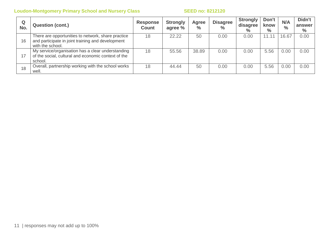| Q<br>No. | <b>Question (cont.)</b>                                                                                                     | <b>Response</b><br><b>Count</b> | <b>Strongly</b><br>agree % | Agree<br>$\frac{1}{2}$ | <b>Disagree</b><br>$\frac{0}{0}$ | <b>Strongly</b><br>disagree<br>$\%$ | Don't<br>know<br>$\%$ | N/A<br>$\frac{0}{0}$ | Didn't<br>answer<br>$\%$ |
|----------|-----------------------------------------------------------------------------------------------------------------------------|---------------------------------|----------------------------|------------------------|----------------------------------|-------------------------------------|-----------------------|----------------------|--------------------------|
| 16       | There are opportunities to network, share practice<br>and participate in joint training and development<br>with the school. | 18                              | 22.22                      | 50                     | 0.00                             | 0.00                                | 11.11                 | 16.67                | 0.00                     |
| 17       | My service/organisation has a clear understanding<br>of the social, cultural and economic context of the<br>school.         | 18                              | 55.56                      | 38.89                  | 0.00                             | 0.00                                | 5.56                  | 0.00                 | 0.00                     |
| 18       | Overall, partnership working with the school works<br>well.                                                                 | 18                              | 44.44                      | 50                     | 0.00                             | 0.00                                | 5.56                  | 0.00                 | 0.00                     |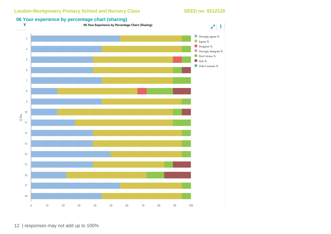

12 | responses may not add up to 100%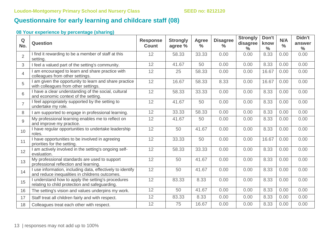### **Questionnaire for early learning and childcare staff (08)**

| Q<br>No.       | <b>Question</b>                                                                                            | <b>Response</b><br><b>Count</b> | <b>Strongly</b><br>agree % | <b>Agree</b><br>$\frac{9}{6}$ | <b>Disagree</b><br>$\frac{6}{6}$ | <b>Strongly</b><br>disagree<br>$\frac{0}{0}$ | Don't<br>know<br>$\frac{0}{0}$ | N/A<br>$\frac{0}{0}$ | Didn't<br>answer<br>$\frac{0}{0}$ |
|----------------|------------------------------------------------------------------------------------------------------------|---------------------------------|----------------------------|-------------------------------|----------------------------------|----------------------------------------------|--------------------------------|----------------------|-----------------------------------|
| $\overline{2}$ | I find it rewarding to be a member of staff at this<br>setting.                                            | 12                              | 58.33                      | 33.33                         | 0.00                             | 0.00                                         | 8.33                           | 0.00                 | 0.00                              |
| 3              | feel a valued part of the setting's community.                                                             | 12                              | 41.67                      | 50                            | 0.00                             | 0.00                                         | 8.33                           | 0.00                 | 0.00                              |
| $\overline{4}$ | am encouraged to learn and share practice with<br>colleagues from other settings.                          | 12                              | 25                         | 58.33                         | 0.00                             | 0.00                                         | 16.67                          | 0.00                 | 0.00                              |
| 5              | am given the opportunity to learn and share practice<br>with colleagues from other settings.               | 12                              | 16.67                      | 58.33                         | 8.33                             | 0.00                                         | 16.67                          | 0.00                 | 0.00                              |
| 6              | I have a clear understanding of the social, cultural<br>and economic context of the setting.               | 12                              | 58.33                      | 33.33                         | 0.00                             | 0.00                                         | 8.33                           | 0.00                 | 0.00                              |
| $\overline{7}$ | I feel appropriately supported by the setting to<br>undertake my role.                                     | 12                              | 41.67                      | 50                            | 0.00                             | 0.00                                         | 8.33                           | 0.00                 | 0.00                              |
| 8              | am supported to engage in professional learning.                                                           | 12                              | 33.33                      | 58.33                         | 0.00                             | 0.00                                         | 8.33                           | 0.00                 | 0.00                              |
| 9              | My professional learning enables me to reflect on<br>and improve my practice.                              | 12                              | 41.67                      | 50                            | 0.00                             | 0.00                                         | 8.33                           | 0.00                 | 0.00                              |
| 10             | I have regular opportunities to undertake leadership<br>roles.                                             | 12                              | 50                         | 41.67                         | 0.00                             | 0.00                                         | 8.33                           | 0.00                 | 0.00                              |
| 11             | have opportunities to be involved in agreeing<br>priorities for the setting.                               | 12                              | 33.33                      | 50                            | 0.00                             | 0.00                                         | 16.67                          | 0.00                 | 0.00                              |
| 12             | am actively involved in the setting's ongoing self-<br>evaluation.                                         | 12                              | 58.33                      | 33.33                         | 0.00                             | 0.00                                         | 8.33                           | 0.00                 | 0.00                              |
| 13             | My professional standards are used to support<br>professional reflection and learning.                     | 12                              | 50                         | 41.67                         | 0.00                             | 0.00                                         | 8.33                           | 0.00                 | 0.00                              |
| 14             | use information, including data, effectively to identify<br>and reduce inequalities in childrens outcomes. | 12                              | 50                         | 41.67                         | 0.00                             | 0.00                                         | 8.33                           | 0.00                 | 0.00                              |
| 15             | understand how to apply the setting's procedures<br>relating to child protection and safeguarding.         | 12                              | 83.33                      | 8.33                          | 0.00                             | 0.00                                         | 8.33                           | 0.00                 | 0.00                              |
| 16             | The setting's vision and values underpins my work.                                                         | 12                              | 50                         | 41.67                         | 0.00                             | 0.00                                         | 8.33                           | 0.00                 | 0.00                              |
| 17             | Staff treat all children fairly and with respect.                                                          | 12                              | 83.33                      | 8.33                          | 0.00                             | 0.00                                         | 8.33                           | 0.00                 | 0.00                              |
| 18             | Colleagues treat each other with respect.                                                                  | 12                              | 75                         | 16.67                         | 0.00                             | 0.00                                         | 8.33                           | 0.00                 | 0.00                              |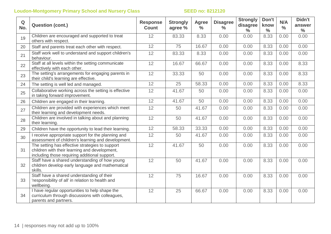| $\mathbf Q$<br>No. | <b>Question (cont.)</b>                                                                                                                           | <b>Response</b><br><b>Count</b> | <b>Strongly</b><br>agree % | <b>Agree</b><br>$\frac{0}{0}$ | <b>Disagree</b><br>$\frac{0}{0}$ | <b>Strongly</b><br>disagree<br>$\%$ | Don't<br>know<br>$\frac{0}{0}$ | N/A<br>$\frac{0}{0}$ | Didn't<br>answer<br>$\frac{0}{0}$ |
|--------------------|---------------------------------------------------------------------------------------------------------------------------------------------------|---------------------------------|----------------------------|-------------------------------|----------------------------------|-------------------------------------|--------------------------------|----------------------|-----------------------------------|
| 19                 | Children are encouraged and supported to treat<br>others with respect.                                                                            | 12                              | 83.33                      | 8.33                          | 0.00                             | 0.00                                | 8.33                           | 0.00                 | 0.00                              |
| 20                 | Staff and parents treat each other with respect.                                                                                                  | 12                              | 75                         | 16.67                         | 0.00                             | 0.00                                | 8.33                           | 0.00                 | 0.00                              |
| 21                 | Staff work well to understand and support children's<br>behaviour.                                                                                | 12                              | 83.33                      | 8.33                          | 0.00                             | 0.00                                | 8.33                           | 0.00                 | 0.00                              |
| 22                 | Staff at all levels within the setting communicate<br>effectively with each other.                                                                | 12                              | 16.67                      | 66.67                         | 0.00                             | 0.00                                | 8.33                           | 0.00                 | 8.33                              |
| 23                 | The setting's arrangements for engaging parents in<br>their child's learning are effective.                                                       | 12                              | 33.33                      | 50                            | 0.00                             | 0.00                                | 8.33                           | 0.00                 | 8.33                              |
| 24                 | The setting is well led and managed.                                                                                                              | 12                              | 25                         | 58.33                         | 0.00                             | 0.00                                | 8.33                           | 0.00                 | 8.33                              |
| 25                 | Collaborative working across the setting is effective<br>in taking forward improvement.                                                           | 12                              | 41.67                      | 50                            | 0.00                             | 0.00                                | 8.33                           | 0.00                 | 0.00                              |
| 26                 | Children are engaged in their learning.                                                                                                           | 12                              | 41.67                      | 50                            | 0.00                             | 0.00                                | 8.33                           | 0.00                 | 0.00                              |
| 27                 | Children are provided with experiences which meet<br>their learning and development needs.                                                        | 12                              | 50                         | 41.67                         | 0.00                             | 0.00                                | 8.33                           | 0.00                 | 0.00                              |
| 28                 | Children are involved in talking about and planning<br>their learning.                                                                            | 12                              | 50                         | 41.67                         | 0.00                             | 0.00                                | 8.33                           | 0.00                 | 0.00                              |
| 29                 | Children have the opportunity to lead their learning.                                                                                             | 12                              | 58.33                      | 33.33                         | 0.00                             | 0.00                                | 8.33                           | 0.00                 | 0.00                              |
| 30                 | I receive appropriate support for the planning and<br>assessment of children's learning and development.                                          | 12                              | 50                         | 41.67                         | 0.00                             | 0.00                                | 8.33                           | 0.00                 | 0.00                              |
| 31                 | The setting has effective strategies to support<br>children with their learning and development,<br>including those requiring additional support. | 12                              | 41.67                      | 50                            | 0.00                             | 0.00                                | 8.33                           | 0.00                 | 0.00                              |
| 32                 | Staff have a shared understanding of how young<br>children develop early language and mathematical<br>skills.                                     | 12                              | 50                         | 41.67                         | 0.00                             | 0.00                                | 8.33                           | 0.00                 | 0.00                              |
| 33                 | Staff have a shared understanding of their<br>'responsibility of all' in relation to health and<br>wellbeing.                                     | 12                              | 75                         | 16.67                         | 0.00                             | 0.00                                | 8.33                           | 0.00                 | 0.00                              |
| 34                 | I have regular opportunities to help shape the<br>curriculum through discussions with colleagues,<br>parents and partners.                        | 12                              | 25                         | 66.67                         | 0.00                             | 0.00                                | 8.33                           | 0.00                 | 0.00                              |